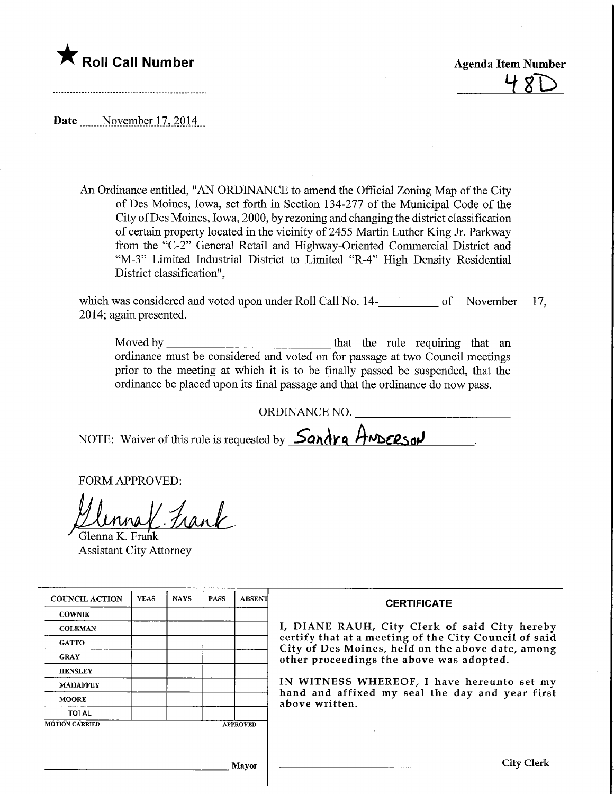

Date ....... November 17, 2014

An Ordinance entitled, "AN ORDINANCE to amend the Official Zoning Map of the City of Des Moines, Iowa, set forth in Section 134-277 of the Municipal Code of the City ofDes Moines, Iowa, 2000, by rezoning and changing the district classification of certain property located in the vicinity of 2455 Martin Luther King Jr. Parkway from the "C-2" General Retail and Highway-Oriented Commercial District and "M-3" Limited Industrial District to Limited "R-4" High Density Residential District classification",

which was considered and voted upon under Roll Call No. 14-<br>
<u>nota nota</u> of November 17, 2014; again presented.

Moved by that the rule requiring that an ordinance must be considered and voted on for passage at two Council meetings prior to the meeting at which it is to be finally passed be suspended, that the ordinance be placed upon its final passage and that the ordinance do now pass.

ORDINANCE NO.

NOTE: Waiver of this rule is requested by **Sandra ANDERSON** 

FORM APPROVED:

Ulenna K. Frank

Assistant City Attorney

| <b>COUNCIL ACTION</b> | <b>YEAS</b> | <b>NAYS</b> | <b>PASS</b> | <b>ABSENT</b>   | <b>CERTIFICATE</b><br>I, DIANE RAUH, City Clerk of said City hereby<br>certify that at a meeting of the City Council of said<br>City of Des Moines, held on the above date, among<br>other proceedings the above was adopted.<br>IN WITNESS WHEREOF, I have hereunto set my<br>hand and affixed my seal the day and year first<br>above written. |
|-----------------------|-------------|-------------|-------------|-----------------|--------------------------------------------------------------------------------------------------------------------------------------------------------------------------------------------------------------------------------------------------------------------------------------------------------------------------------------------------|
| <b>COWNIE</b>         |             |             |             |                 |                                                                                                                                                                                                                                                                                                                                                  |
| <b>COLEMAN</b>        |             |             |             |                 |                                                                                                                                                                                                                                                                                                                                                  |
| <b>GATTO</b>          |             |             |             |                 |                                                                                                                                                                                                                                                                                                                                                  |
| <b>GRAY</b>           |             |             |             |                 |                                                                                                                                                                                                                                                                                                                                                  |
| <b>HENSLEY</b>        |             |             |             |                 |                                                                                                                                                                                                                                                                                                                                                  |
| <b>MAHAFFEY</b>       |             |             |             |                 |                                                                                                                                                                                                                                                                                                                                                  |
| <b>MOORE</b>          |             |             |             |                 |                                                                                                                                                                                                                                                                                                                                                  |
| <b>TOTAL</b>          |             |             |             |                 |                                                                                                                                                                                                                                                                                                                                                  |
| <b>MOTION CARRIED</b> |             |             |             | <b>APPROVED</b> |                                                                                                                                                                                                                                                                                                                                                  |
|                       |             |             |             |                 |                                                                                                                                                                                                                                                                                                                                                  |
|                       |             |             |             |                 |                                                                                                                                                                                                                                                                                                                                                  |
| Mayor                 |             |             |             |                 | City Clerk                                                                                                                                                                                                                                                                                                                                       |